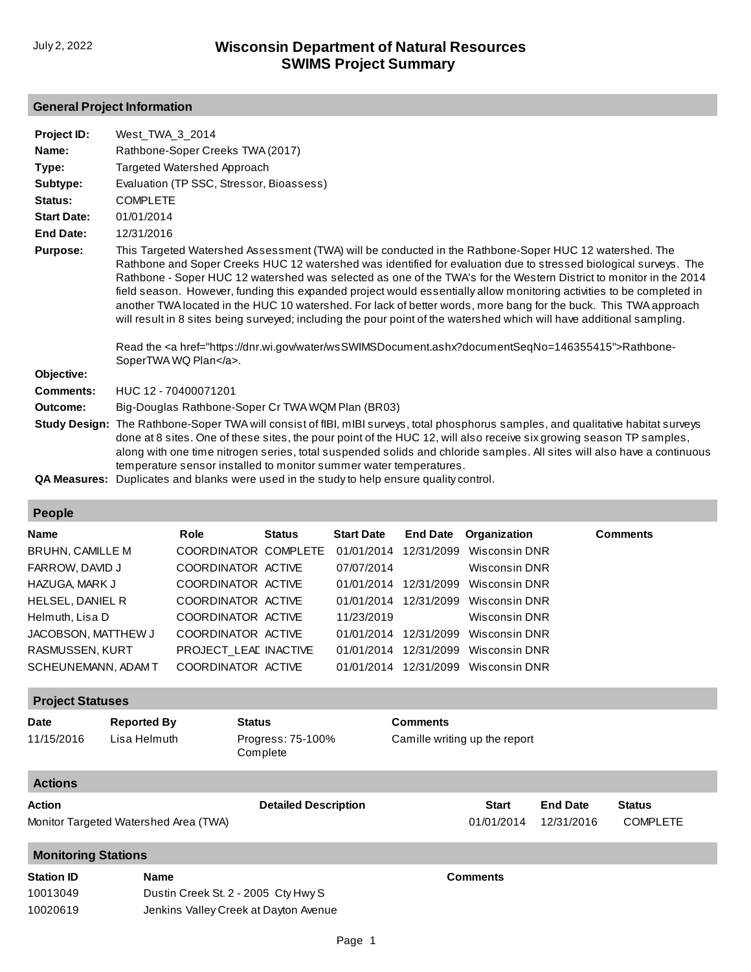## **General Project Information**

| Project ID:        | West TWA 3 2014                                                                                                                                                                                                                                                                                                                                                                                                                                                                                                                                                                                                                                                                                                                                                                                                                                         |
|--------------------|---------------------------------------------------------------------------------------------------------------------------------------------------------------------------------------------------------------------------------------------------------------------------------------------------------------------------------------------------------------------------------------------------------------------------------------------------------------------------------------------------------------------------------------------------------------------------------------------------------------------------------------------------------------------------------------------------------------------------------------------------------------------------------------------------------------------------------------------------------|
| Name:              | Rathbone-Soper Creeks TWA (2017)                                                                                                                                                                                                                                                                                                                                                                                                                                                                                                                                                                                                                                                                                                                                                                                                                        |
| Type:              | Targeted Watershed Approach                                                                                                                                                                                                                                                                                                                                                                                                                                                                                                                                                                                                                                                                                                                                                                                                                             |
| Subtype:           | Evaluation (TP SSC, Stressor, Bioassess)                                                                                                                                                                                                                                                                                                                                                                                                                                                                                                                                                                                                                                                                                                                                                                                                                |
| Status:            | <b>COMPLETE</b>                                                                                                                                                                                                                                                                                                                                                                                                                                                                                                                                                                                                                                                                                                                                                                                                                                         |
| <b>Start Date:</b> | 01/01/2014                                                                                                                                                                                                                                                                                                                                                                                                                                                                                                                                                                                                                                                                                                                                                                                                                                              |
| <b>End Date:</b>   | 12/31/2016                                                                                                                                                                                                                                                                                                                                                                                                                                                                                                                                                                                                                                                                                                                                                                                                                                              |
| <b>Purpose:</b>    | This Targeted Watershed Assessment (TWA) will be conducted in the Rathbone-Soper HUC 12 watershed. The<br>Rathbone and Soper Creeks HUC 12 watershed was identified for evaluation due to stressed biological surveys. The<br>Rathbone - Soper HUC 12 watershed was selected as one of the TWA's for the Western District to monitor in the 2014<br>field season. However, funding this expanded project would essentially allow monitoring activities to be completed in<br>another TWA located in the HUC 10 watershed. For lack of better words, more bang for the buck. This TWA approach<br>will result in 8 sites being surveyed; including the pour point of the watershed which will have additional sampling.<br>Read the <a href="https://dnr.wi.gov/water/wsSWIMSDocument.ashx?documentSegNo=146355415">Rathbone-<br/>SoperTWA WQ Plan</a> . |
| Objective:         |                                                                                                                                                                                                                                                                                                                                                                                                                                                                                                                                                                                                                                                                                                                                                                                                                                                         |
| <b>Comments:</b>   | HUC 12 - 70400071201                                                                                                                                                                                                                                                                                                                                                                                                                                                                                                                                                                                                                                                                                                                                                                                                                                    |
| Outcome:           | Big-Douglas Rathbone-Soper Cr TWA WQM Plan (BR03)                                                                                                                                                                                                                                                                                                                                                                                                                                                                                                                                                                                                                                                                                                                                                                                                       |
|                    | Study Design: The Rathbone-Soper TWA will consist of fIBI, mIBI surveys, total phosphorus samples, and qualitative habitat surveys<br>done at 8 sites. One of these sites, the pour point of the HUC 12, will also receive six growing season TP samples,<br>along with one time nitrogen series, total suspended solids and chloride samples. All sites will also have a continuous<br>temperature sensor installed to monitor summer water temperatures.                                                                                                                                                                                                                                                                                                                                                                                              |
|                    | <b>QA Measures:</b> Duplicates and blanks were used in the study to help ensure quality control.                                                                                                                                                                                                                                                                                                                                                                                                                                                                                                                                                                                                                                                                                                                                                        |

### **People**

| <b>Name</b>             | Role                  | Status | <b>Start Date</b> |            | <b>End Date</b> Organization | <b>Comments</b> |
|-------------------------|-----------------------|--------|-------------------|------------|------------------------------|-----------------|
| <b>BRUHN, CAMILLE M</b> | COORDINATOR COMPLETE  |        | 01/01/2014        | 12/31/2099 | Wisconsin DNR                |                 |
| FARROW, DAVID J         | COORDINATOR ACTIVE    |        | 07/07/2014        |            | Wisconsin DNR                |                 |
| HAZUGA, MARK J          | COORDINATOR ACTIVE    |        | 01/01/2014        | 12/31/2099 | Wisconsin DNR                |                 |
| HELSEL, DANIEL R        | COORDINATOR ACTIVE    |        | 01/01/2014        | 12/31/2099 | Wisconsin DNR                |                 |
| Helmuth, Lisa D         | COORDINATOR ACTIVE    |        | 11/23/2019        |            | Wisconsin DNR                |                 |
| JACOBSON, MATTHEW J     | COORDINATOR ACTIVE    |        | 01/01/2014        | 12/31/2099 | Wisconsin DNR                |                 |
| RASMUSSEN, KURT         | PROJECT LEAD INACTIVE |        | 01/01/2014        | 12/31/2099 | Wisconsin DNR                |                 |
| SCHEUNEMANN, ADAM T     | COORDINATOR ACTIVE    |        | 01/01/2014        | 12/31/2099 | Wisconsin DNR                |                 |

# **Project Statuses**

| <b>Date</b><br>11/15/2016  | <b>Reported By</b><br>Lisa Helmuth    | <b>Status</b><br>Progress: 75-100%<br>Complete | <b>Comments</b><br>Camille writing up the report |                 |                 |
|----------------------------|---------------------------------------|------------------------------------------------|--------------------------------------------------|-----------------|-----------------|
| <b>Actions</b>             |                                       |                                                |                                                  |                 |                 |
| Action                     |                                       | <b>Detailed Description</b>                    | <b>Start</b>                                     | <b>End Date</b> | Status          |
|                            | Monitor Targeted Watershed Area (TWA) |                                                | 01/01/2014                                       | 12/31/2016      | <b>COMPLETE</b> |
| <b>Monitoring Stations</b> |                                       |                                                |                                                  |                 |                 |
| <b>Station ID</b>          | <b>Name</b>                           |                                                | <b>Comments</b>                                  |                 |                 |
| 10013049                   |                                       | Dustin Creek St. 2 - 2005 Cty Hwy S            |                                                  |                 |                 |
| 10020619                   |                                       | Jenkins Valley Creek at Dayton Avenue          |                                                  |                 |                 |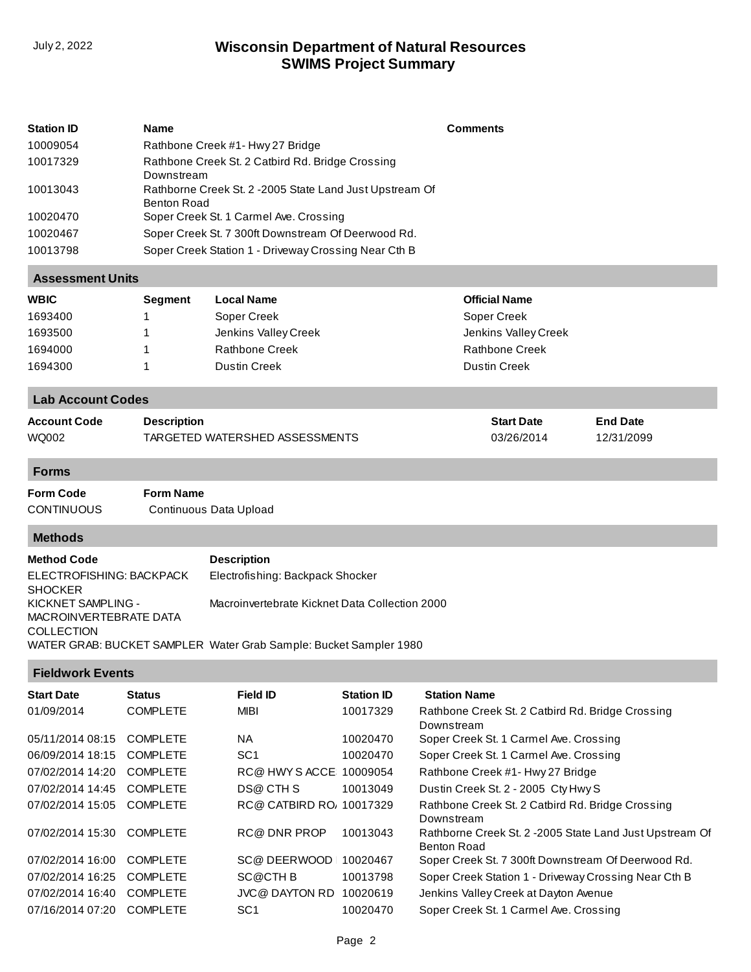## **SWIMS Project Summary** July 2, 2022 **Wisconsin Department of Natural Resources**

| <b>Station ID</b> | <b>Name</b>                                                             | <b>Comments</b> |
|-------------------|-------------------------------------------------------------------------|-----------------|
| 10009054          | Rathbone Creek #1- Hwy 27 Bridge                                        |                 |
| 10017329          | Rathbone Creek St. 2 Catbird Rd. Bridge Crossing<br>Downstream          |                 |
| 10013043          | Rathborne Creek St. 2 - 2005 State Land Just Upstream Of<br>Benton Road |                 |
| 10020470          | Soper Creek St. 1 Carmel Ave. Crossing                                  |                 |
| 10020467          | Soper Creek St. 7 300ft Downstream Of Deerwood Rd.                      |                 |
| 10013798          | Soper Creek Station 1 - Driveway Crossing Near Cth B                    |                 |

### **Assessment Units**

| <b>WBIC</b> | <b>Segment</b> | <b>Local Name</b>    | <b>Official Name</b>  |
|-------------|----------------|----------------------|-----------------------|
| 1693400     |                | Soper Creek          | Soper Creek           |
| 1693500     |                | Jenkins Valley Creek | Jenkins Valley Creek  |
| 1694000     |                | Rathbone Creek       | <b>Rathbone Creek</b> |
| 1694300     |                | Dustin Creek         | <b>Dustin Creek</b>   |

### **Lab Account Codes**

| <b>Account Code</b> | Description                    | <b>Start Date</b> | <b>End Date</b> |
|---------------------|--------------------------------|-------------------|-----------------|
| WQ002               | TARGETED WATERSHED ASSESSMENTS | 03/26/2014        | 12/31/2099      |

#### **Forms**

**Form Code Form Name** CONTINUOUS Continuous Data Upload

#### **Methods**

| <b>Method Code</b>                           | <b>Description</b>                                                |
|----------------------------------------------|-------------------------------------------------------------------|
| ELECTROFISHING: BACKPACK<br><b>SHOCKER</b>   | Electrofishing: Backpack Shocker                                  |
| KICKNET SAMPLING -<br>MACROINVERTEBRATE DATA | Macroinvertebrate Kicknet Data Collection 2000                    |
| <b>COLLECTION</b>                            | WATER GRAB: BUCKET SAMPLER Water Grab Sample: Bucket Sampler 1980 |

#### **Fieldwork Events**

| <b>Start Date</b> | <b>Status</b>   | Field ID                | <b>Station ID</b> | <b>Station Name</b>                                                            |
|-------------------|-----------------|-------------------------|-------------------|--------------------------------------------------------------------------------|
| 01/09/2014        | <b>COMPLETE</b> | <b>MIBI</b>             | 10017329          | Rathbone Creek St. 2 Catbird Rd. Bridge Crossing<br>Downstream                 |
| 05/11/2014 08:15  | <b>COMPLETE</b> | <b>NA</b>               | 10020470          | Soper Creek St. 1 Carmel Ave. Crossing                                         |
| 06/09/2014 18:15  | <b>COMPLETE</b> | SC <sub>1</sub>         | 10020470          | Soper Creek St. 1 Carmel Ave. Crossing                                         |
| 07/02/2014 14:20  | <b>COMPLETE</b> | RC@ HWY SACCE: 10009054 |                   | Rathbone Creek #1- Hwy 27 Bridge                                               |
| 07/02/2014 14:45  | <b>COMPLETE</b> | DS@ CTH S               | 10013049          | Dustin Creek St. 2 - 2005 Cty Hwy S                                            |
| 07/02/2014 15:05  | <b>COMPLETE</b> | RC@ CATBIRD RO 10017329 |                   | Rathbone Creek St. 2 Catbird Rd. Bridge Crossing<br>Downstream                 |
| 07/02/2014 15:30  | <b>COMPLETE</b> | <b>RC@DNRPROP</b>       | 10013043          | Rathborne Creek St. 2 - 2005 State Land Just Upstream Of<br><b>Benton Road</b> |
| 07/02/2014 16:00  | <b>COMPLETE</b> | SC@DEERWOOD             | 10020467          | Soper Creek St. 7 300ft Downstream Of Deerwood Rd.                             |
| 07/02/2014 16:25  | <b>COMPLETE</b> | SC@CTHB                 | 10013798          | Soper Creek Station 1 - Driveway Crossing Near Cth B                           |
| 07/02/2014 16:40  | <b>COMPLETE</b> | <b>JVC@ DAYTON RD</b>   | 10020619          | Jenkins Valley Creek at Dayton Avenue                                          |
| 07/16/2014 07:20  | <b>COMPLETE</b> | SC <sub>1</sub>         | 10020470          | Soper Creek St. 1 Carmel Ave. Crossing                                         |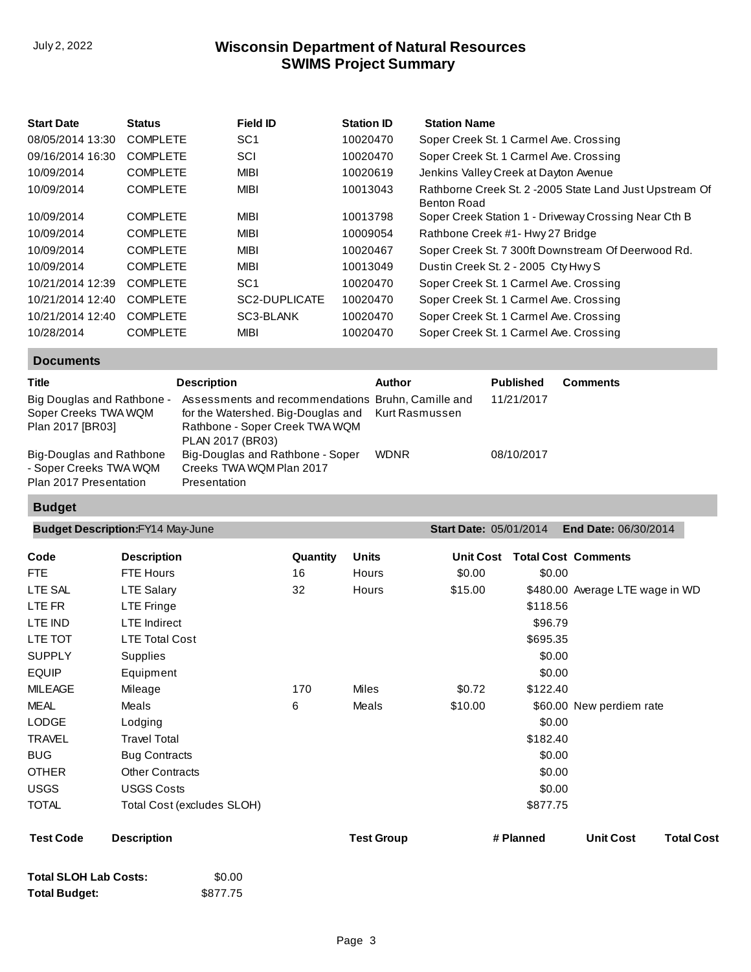# **SWIMS Project Summary** July 2, 2022 **Wisconsin Department of Natural Resources**

| <b>Start Date</b> | <b>Status</b>   | <b>Field ID</b> | <b>Station ID</b> | <b>Station Name</b>                                                     |
|-------------------|-----------------|-----------------|-------------------|-------------------------------------------------------------------------|
| 08/05/2014 13:30  | <b>COMPLETE</b> | SC <sub>1</sub> | 10020470          | Soper Creek St. 1 Carmel Ave. Crossing                                  |
| 09/16/2014 16:30  | <b>COMPLETE</b> | SCI             | 10020470          | Soper Creek St. 1 Carmel Ave. Crossing                                  |
| 10/09/2014        | <b>COMPLETE</b> | <b>MIBI</b>     | 10020619          | Jenkins Valley Creek at Dayton Avenue                                   |
| 10/09/2014        | <b>COMPLETE</b> | <b>MIBI</b>     | 10013043          | Rathborne Creek St. 2 - 2005 State Land Just Upstream Of<br>Benton Road |
| 10/09/2014        | <b>COMPLETE</b> | <b>MIBI</b>     | 10013798          | Soper Creek Station 1 - Driveway Crossing Near Cth B                    |
| 10/09/2014        | <b>COMPLETE</b> | <b>MIBI</b>     | 10009054          | Rathbone Creek #1- Hwy 27 Bridge                                        |
| 10/09/2014        | <b>COMPLETE</b> | <b>MIBI</b>     | 10020467          | Soper Creek St. 7 300ft Downstream Of Deerwood Rd.                      |
| 10/09/2014        | <b>COMPLETE</b> | <b>MIBI</b>     | 10013049          | Dustin Creek St. 2 - 2005 Cty Hwy S                                     |
| 10/21/2014 12:39  | <b>COMPLETE</b> | SC <sub>1</sub> | 10020470          | Soper Creek St. 1 Carmel Ave. Crossing                                  |
| 10/21/2014 12:40  | <b>COMPLETE</b> | SC2-DUPLICATE   | 10020470          | Soper Creek St. 1 Carmel Ave. Crossing                                  |
| 10/21/2014 12:40  | <b>COMPLETE</b> | SC3-BLANK       | 10020470          | Soper Creek St. 1 Carmel Ave. Crossing                                  |
| 10/28/2014        | <b>COMPLETE</b> | MIBI            | 10020470          | Soper Creek St. 1 Carmel Ave. Crossing                                  |

**Documents**

| <b>Title</b>                                                                 | <b>Description</b>                                                                                                                                            | Author      | <b>Published</b> | Comments |
|------------------------------------------------------------------------------|---------------------------------------------------------------------------------------------------------------------------------------------------------------|-------------|------------------|----------|
| Big Douglas and Rathbone -<br>Soper Creeks TWA WQM<br>Plan 2017 [BR03]       | Assessments and recommendations Bruhn, Camille and<br>for the Watershed. Big-Douglas and Kurt Rasmussen<br>Rathbone - Soper Creek TWA WQM<br>PLAN 2017 (BR03) |             | 11/21/2017       |          |
| Big-Douglas and Rathbone<br>- Soper Creeks TWA WQM<br>Plan 2017 Presentation | Big-Douglas and Rathbone - Soper<br>Creeks TWA WQM Plan 2017<br>Presentation                                                                                  | <b>WDNR</b> | 08/10/2017       |          |

## **Budget**

|                            |          |                   | <b>Start Date: 05/01/2014</b> | <b>End Date: 06/30/2014</b> |                                                                                                                                                                                                                                        |
|----------------------------|----------|-------------------|-------------------------------|-----------------------------|----------------------------------------------------------------------------------------------------------------------------------------------------------------------------------------------------------------------------------------|
| <b>Description</b>         | Quantity | <b>Units</b>      | <b>Unit Cost</b>              |                             |                                                                                                                                                                                                                                        |
| <b>FTE Hours</b>           | 16       | Hours             | \$0.00                        |                             |                                                                                                                                                                                                                                        |
| <b>LTE Salary</b>          | 32       | Hours             | \$15.00                       |                             |                                                                                                                                                                                                                                        |
| LTE Fringe                 |          |                   |                               |                             |                                                                                                                                                                                                                                        |
| <b>LTE</b> Indirect        |          |                   |                               |                             |                                                                                                                                                                                                                                        |
| <b>LTE Total Cost</b>      |          |                   |                               |                             |                                                                                                                                                                                                                                        |
| Supplies                   |          |                   |                               |                             |                                                                                                                                                                                                                                        |
| Equipment                  |          |                   |                               |                             |                                                                                                                                                                                                                                        |
| Mileage                    | 170      | Miles             | \$0.72                        |                             |                                                                                                                                                                                                                                        |
| Meals                      | 6        | Meals             | \$10.00                       |                             |                                                                                                                                                                                                                                        |
| Lodging                    |          |                   |                               |                             |                                                                                                                                                                                                                                        |
| <b>Travel Total</b>        |          |                   |                               |                             |                                                                                                                                                                                                                                        |
| <b>Bug Contracts</b>       |          |                   |                               |                             |                                                                                                                                                                                                                                        |
| <b>Other Contracts</b>     |          |                   |                               |                             |                                                                                                                                                                                                                                        |
| <b>USGS Costs</b>          |          |                   |                               |                             |                                                                                                                                                                                                                                        |
| Total Cost (excludes SLOH) |          |                   |                               |                             |                                                                                                                                                                                                                                        |
| <b>Description</b>         |          | <b>Test Group</b> |                               | <b>Unit Cost</b>            | <b>Total Cost</b>                                                                                                                                                                                                                      |
|                            |          |                   |                               | # Planned                   | <b>Total Cost Comments</b><br>\$0.00<br>\$480.00 Average LTE wage in WD<br>\$118.56<br>\$96.79<br>\$695.35<br>\$0.00<br>\$0.00<br>\$122.40<br>\$60.00 New perdiem rate<br>\$0.00<br>\$182.40<br>\$0.00<br>\$0.00<br>\$0.00<br>\$877.75 |